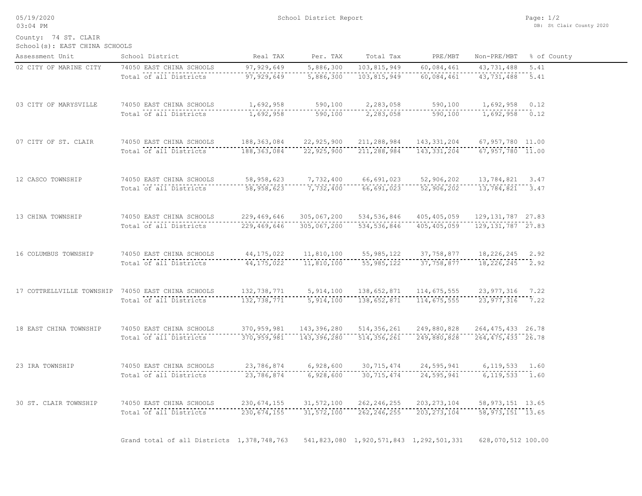05/19/2020 03:04 PM

County: 74 ST. CLAIR

School(s): EAST CHINA SCHOOLS

| Assessment Unit        | School District                                    | Real TAX      | Per. TAX     | Total Tax                               | PRE/MBT       | Non-PRE/MBT         | % of County |
|------------------------|----------------------------------------------------|---------------|--------------|-----------------------------------------|---------------|---------------------|-------------|
| 02 CITY OF MARINE CITY | 74050 EAST CHINA SCHOOLS                           | 97, 929, 649  | 5,886,300    | 103,815,949                             | 60,084,461    | 43,731,488          | 5.41        |
|                        | Total of all Districts                             | 97, 929, 649  | 5,886,300    | 103,815,949                             | 60,084,461    | 43, 731, 488 5.41   |             |
| 03 CITY OF MARYSVILLE  | 74050 EAST CHINA SCHOOLS                           | 1,692,958     | 590,100      | 2,283,058                               | 590,100       | $1,692,958$ 0.12    |             |
|                        | Total of all Districts                             | 1,692,958     | 590,100      | 2,283,058                               | 590,100       | 1,692,958 0.12      |             |
| 07 CITY OF ST. CLAIR   | 74050 EAST CHINA SCHOOLS                           | 188,363,084   | 22,925,900   | 211,288,984                             | 143, 331, 204 | 67,957,780 11.00    |             |
|                        | Total of all Districts                             | 188, 363, 084 | 22,925,900   | 211,288,984                             | 143, 331, 204 | $67,957,780$ 11.00  |             |
| 12 CASCO TOWNSHIP      | 74050 EAST CHINA SCHOOLS                           | 58,958,623    | 7,732,400    | 66,691,023                              | 52,906,202    | 13,784,821 3.47     |             |
|                        | Total of all Districts                             | 58,958,623    | 7,732,400    | 66,691,023                              | 52,906,202    | 13,784,821 3.47     |             |
| 13 CHINA TOWNSHIP      | 74050 EAST CHINA SCHOOLS                           | 229,469,646   | 305,067,200  | 534, 536, 846                           | 405, 405, 059 | 129, 131, 787 27.83 |             |
|                        | Total of all Districts                             | 229, 469, 646 | 305,067,200  | 534, 536, 846                           | 405, 405, 059 | 129, 131, 787 27.83 |             |
| 16 COLUMBUS TOWNSHIP   | 74050 EAST CHINA SCHOOLS                           | 44, 175, 022  | 11,810,100   | 55, 985, 122                            | 37,758,877    | 18, 226, 245 2.92   |             |
|                        | Total of all Districts                             | 44, 175, 022  | 11,810,100   | 55, 985, 122                            | 37,758,877    | 18, 226, 245 2.92   |             |
|                        | 17 COTTRELLVILLE TOWNSHIP 74050 EAST CHINA SCHOOLS | 132,738,771   | 5,914,100    | 138,652,871                             | 114,675,555   | 23, 977, 316 7.22   |             |
|                        | Total of all Districts                             | 132,738,771   | 5,914,100    | 138,652,871                             | 114,675,555   | $23,977,316$ 7.22   |             |
| 18 EAST CHINA TOWNSHIP | 74050 EAST CHINA SCHOOLS                           | 370,959,981   | 143,396,280  | 514,356,261                             | 249,880,828   | 264, 475, 433 26.78 |             |
|                        | Total of all Districts                             | 370,959,981   | 143,396,280  | 514,356,261                             | 249,880,828   | 264, 475, 433 26.78 |             |
| 23 IRA TOWNSHIP        | 74050 EAST CHINA SCHOOLS                           | 23,786,874    | 6,928,600    | 30, 715, 474                            | 24,595,941    | $6, 119, 533$ 1.60  |             |
|                        | Total of all Districts                             | 23,786,874    | 6,928,600    | 30, 715, 474                            | 24,595,941    | $6, 119, 533$ 1.60  |             |
| 30 ST. CLAIR TOWNSHIP  | 74050 EAST CHINA SCHOOLS                           | 230,674,155   | 31, 572, 100 | 262, 246, 255                           | 203, 273, 104 | 58, 973, 151 13.65  |             |
|                        | Total of all Districts                             | 230, 674, 155 | 31, 572, 100 | 262, 246, 255                           | 203, 273, 104 | $-58,973,151$ 13.65 |             |
|                        | Grand total of all Districts 1,378,748,763         |               |              | 541,823,080 1,920,571,843 1,292,501,331 |               | 628,070,512 100.00  |             |